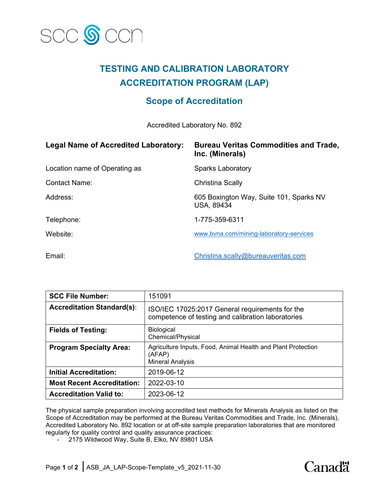

# **TESTING AND CALIBRATION LABORATORY ACCREDITATION PROGRAM (LAP)**

# **Scope of Accreditation**

Accredited Laboratory No. 892

| <b>Legal Name of Accredited Laboratory:</b> | <b>Bureau Veritas Commodities and Trade,</b><br>Inc. (Minerals) |
|---------------------------------------------|-----------------------------------------------------------------|
| Location name of Operating as               | <b>Sparks Laboratory</b>                                        |
| <b>Contact Name:</b>                        | <b>Christina Scally</b>                                         |
| Address:                                    | 605 Boxington Way, Suite 101, Sparks NV<br><b>USA, 89434</b>    |
| Telephone:                                  | 1-775-359-6311                                                  |
| Website:                                    | www.byna.com/mining-laboratory-services                         |
| Email:                                      | Christina.scally@bureauveritas.com                              |

| <b>SCC File Number:</b>           | 151091                                                                                                |
|-----------------------------------|-------------------------------------------------------------------------------------------------------|
| <b>Accreditation Standard(s):</b> | ISO/IEC 17025:2017 General requirements for the<br>competence of testing and calibration laboratories |
| <b>Fields of Testing:</b>         | <b>Biological</b><br>Chemical/Physical                                                                |
| <b>Program Specialty Area:</b>    | Agriculture Inputs, Food, Animal Health and Plant Protection<br>(AFAP)<br><b>Mineral Analysis</b>     |
| <b>Initial Accreditation:</b>     | 2019-06-12                                                                                            |
| <b>Most Recent Accreditation:</b> | 2022-03-10                                                                                            |
| <b>Accreditation Valid to:</b>    | 2023-06-12                                                                                            |

The physical sample preparation involving accredited test methods for Minerals Analysis as listed on the Scope of Accreditation may be performed at the Bureau Veritas Commodities and Trade, Inc. (Minerals), Accredited Laboratory No. 892 location or at off-site sample preparation laboratories that are monitored regularly for quality control and quality assurance practices:

- 2175 Wildwood Way, Suite B, Elko, NV 89801 USA